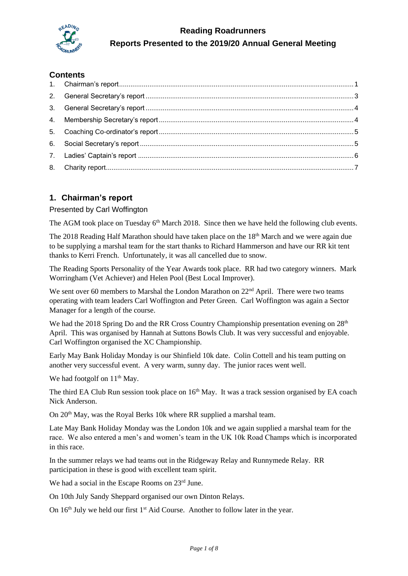

# **Reading Roadrunners Reports Presented to the 2019/20 Annual General Meeting**

# **Contents**

# <span id="page-0-0"></span>**1. Chairman's report**

#### Presented by Carl Woffington

The AGM took place on Tuesday  $6<sup>th</sup>$  March 2018. Since then we have held the following club events.

The 2018 Reading Half Marathon should have taken place on the  $18<sup>th</sup>$  March and we were again due to be supplying a marshal team for the start thanks to Richard Hammerson and have our RR kit tent thanks to Kerri French. Unfortunately, it was all cancelled due to snow.

The Reading Sports Personality of the Year Awards took place. RR had two category winners. Mark Worringham (Vet Achiever) and Helen Pool (Best Local Improver).

We sent over 60 members to Marshal the London Marathon on  $22<sup>nd</sup>$  April. There were two teams operating with team leaders Carl Woffington and Peter Green. Carl Woffington was again a Sector Manager for a length of the course.

We had the 2018 Spring Do and the RR Cross Country Championship presentation evening on 28<sup>th</sup> April. This was organised by Hannah at Suttons Bowls Club. It was very successful and enjoyable. Carl Woffington organised the XC Championship.

Early May Bank Holiday Monday is our Shinfield 10k date. Colin Cottell and his team putting on another very successful event. A very warm, sunny day. The junior races went well.

We had footgolf on  $11<sup>th</sup>$  May.

The third EA Club Run session took place on 16<sup>th</sup> May. It was a track session organised by EA coach Nick Anderson.

On 20<sup>th</sup> May, was the Royal Berks 10k where RR supplied a marshal team.

Late May Bank Holiday Monday was the London 10k and we again supplied a marshal team for the race. We also entered a men's and women's team in the UK 10k Road Champs which is incorporated in this race.

In the summer relays we had teams out in the Ridgeway Relay and Runnymede Relay. RR participation in these is good with excellent team spirit.

We had a social in the Escape Rooms on 23<sup>rd</sup> June.

On 10th July Sandy Sheppard organised our own Dinton Relays.

On 16<sup>th</sup> July we held our first 1<sup>st</sup> Aid Course. Another to follow later in the year.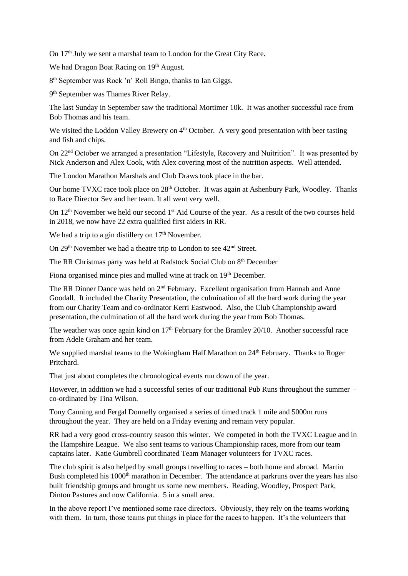On 17<sup>th</sup> July we sent a marshal team to London for the Great City Race.

We had Dragon Boat Racing on 19<sup>th</sup> August.

8<sup>th</sup> September was Rock 'n' Roll Bingo, thanks to Ian Giggs.

9<sup>th</sup> September was Thames River Relay.

The last Sunday in September saw the traditional Mortimer 10k. It was another successful race from Bob Thomas and his team.

We visited the Loddon Valley Brewery on 4<sup>th</sup> October. A very good presentation with beer tasting and fish and chips.

On 22nd October we arranged a presentation "Lifestyle, Recovery and Nuitrition". It was presented by Nick Anderson and Alex Cook, with Alex covering most of the nutrition aspects. Well attended.

The London Marathon Marshals and Club Draws took place in the bar.

Our home TVXC race took place on 28<sup>th</sup> October. It was again at Ashenbury Park, Woodley. Thanks to Race Director Sev and her team. It all went very well.

On 12<sup>th</sup> November we held our second 1<sup>st</sup> Aid Course of the year. As a result of the two courses held in 2018, we now have 22 extra qualified first aiders in RR.

We had a trip to a gin distillery on 17<sup>th</sup> November.

On 29<sup>th</sup> November we had a theatre trip to London to see 42<sup>nd</sup> Street.

The RR Christmas party was held at Radstock Social Club on 8th December

Fiona organised mince pies and mulled wine at track on 19<sup>th</sup> December.

The RR Dinner Dance was held on  $2<sup>nd</sup>$  February. Excellent organisation from Hannah and Anne Goodall. It included the Charity Presentation, the culmination of all the hard work during the year from our Charity Team and co-ordinator Kerri Eastwood. Also, the Club Championship award presentation, the culmination of all the hard work during the year from Bob Thomas.

The weather was once again kind on 17<sup>th</sup> February for the Bramley 20/10. Another successful race from Adele Graham and her team.

We supplied marshal teams to the Wokingham Half Marathon on 24<sup>th</sup> February. Thanks to Roger Pritchard.

That just about completes the chronological events run down of the year.

However, in addition we had a successful series of our traditional Pub Runs throughout the summer – co-ordinated by Tina Wilson.

Tony Canning and Fergal Donnelly organised a series of timed track 1 mile and 5000m runs throughout the year. They are held on a Friday evening and remain very popular.

RR had a very good cross-country season this winter. We competed in both the TVXC League and in the Hampshire League. We also sent teams to various Championship races, more from our team captains later. Katie Gumbrell coordinated Team Manager volunteers for TVXC races.

The club spirit is also helped by small groups travelling to races – both home and abroad. Martin Bush completed his 1000<sup>th</sup> marathon in December. The attendance at parkruns over the years has also built friendship groups and brought us some new members. Reading, Woodley, Prospect Park, Dinton Pastures and now California. 5 in a small area.

In the above report I've mentioned some race directors. Obviously, they rely on the teams working with them. In turn, those teams put things in place for the races to happen. It's the volunteers that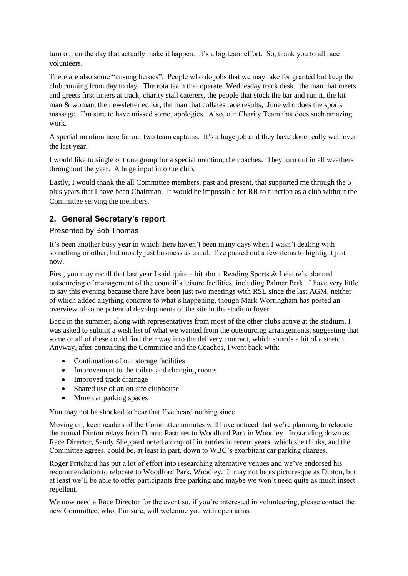turn out on the day that actually make it happen. It's a big team effort. So, thank you to all race volunteers.

There are also some "unsung heroes". People who do jobs that we may take for granted but keep the club running from day to day. The rota team that operate Wednesday track desk, the man that meets and greets first timers at track, charity stall caterers, the people that stock the bar and run it, the kit man & woman, the newsletter editor, the man that collates race results, June who does the sports massage. I'm sure to have missed some, apologies. Also, our Charity Team that does such amazing work.

A special mention here for our two team captains. It's a huge job and they have done really well over the last year.

I would like to single out one group for a special mention, the coaches. They turn out in all weathers throughout the year. A huge input into the club.

Lastly, I would thank the all Committee members, past and present, that supported me through the 5 plus years that I have been Chairman. It would be impossible for RR to function as a club without the Committee serving the members.

### <span id="page-2-0"></span>**2. General Secretary's report**

#### Presented by Bob Thomas

It's been another busy year in which there haven't been many days when I wasn't dealing with something or other, but mostly just business as usual. I've picked out a few items to highlight just now.

First, you may recall that last year I said quite a bit about Reading Sports & Leisure's planned outsourcing of management of the council's leisure facilities, including Palmer Park. I have very little to say this evening because there have been just two meetings with RSL since the last AGM, neither of which added anything concrete to what's happening, though Mark Worringham has posted an overview of some potential developments of the site in the stadium foyer.

Back in the summer, along with representatives from most of the other clubs active at the stadium, I was asked to submit a wish list of what we wanted from the outsourcing arrangements, suggesting that some or all of these could find their way into the delivery contract, which sounds a bit of a stretch. Anyway, after consulting the Committee and the Coaches, I went back with:

- Continuation of our storage facilities
- Improvement to the toilets and changing rooms
- Improved track drainage
- Shared use of an on-site clubhouse
- More car parking spaces

You may not be shocked to hear that I've heard nothing since.

Moving on, keen readers of the Committee minutes will have noticed that we're planning to relocate the annual Dinton relays from Dinton Pastures to Woodford Park in Woodley. In standing down as Race Director, Sandy Sheppard noted a drop off in entries in recent years, which she thinks, and the Committee agrees, could be, at least in part, down to WBC's exorbitant car parking charges.

Roger Pritchard has put a lot of effort into researching alternative venues and we've endorsed his recommendation to relocate to Woodford Park, Woodley. It may not be as picturesque as Dinton, but at least we'll be able to offer participants free parking and maybe we won't need quite as much insect repellent.

We now need a Race Director for the event so, if you're interested in volunteering, please contact the new Committee, who, I'm sure, will welcome you with open arms.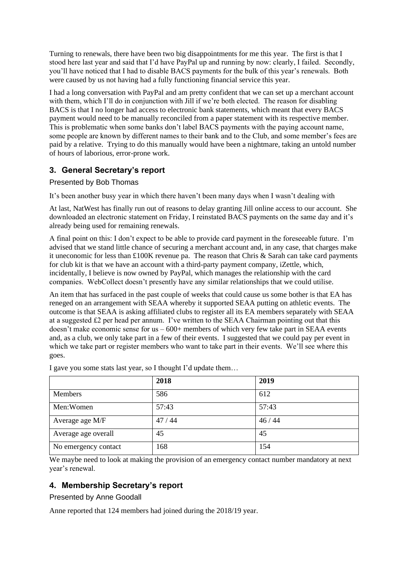Turning to renewals, there have been two big disappointments for me this year. The first is that I stood here last year and said that I'd have PayPal up and running by now: clearly, I failed. Secondly, you'll have noticed that I had to disable BACS payments for the bulk of this year's renewals. Both were caused by us not having had a fully functioning financial service this year.

I had a long conversation with PayPal and am pretty confident that we can set up a merchant account with them, which I'll do in conjunction with Jill if we're both elected. The reason for disabling BACS is that I no longer had access to electronic bank statements, which meant that every BACS payment would need to be manually reconciled from a paper statement with its respective member. This is problematic when some banks don't label BACS payments with the paying account name, some people are known by different names to their bank and to the Club, and some member's fees are paid by a relative. Trying to do this manually would have been a nightmare, taking an untold number of hours of laborious, error-prone work.

# <span id="page-3-0"></span>**3. General Secretary's report**

Presented by Bob Thomas

It's been another busy year in which there haven't been many days when I wasn't dealing with

At last, NatWest has finally run out of reasons to delay granting Jill online access to our account. She downloaded an electronic statement on Friday, I reinstated BACS payments on the same day and it's already being used for remaining renewals.

A final point on this: I don't expect to be able to provide card payment in the foreseeable future. I'm advised that we stand little chance of securing a merchant account and, in any case, that charges make it uneconomic for less than £100K revenue pa. The reason that Chris & Sarah can take card payments for club kit is that we have an account with a third-party payment company, iZettle, which, incidentally, I believe is now owned by PayPal, which manages the relationship with the card companies. WebCollect doesn't presently have any similar relationships that we could utilise.

An item that has surfaced in the past couple of weeks that could cause us some bother is that EA has reneged on an arrangement with SEAA whereby it supported SEAA putting on athletic events. The outcome is that SEAA is asking affiliated clubs to register all its EA members separately with SEAA at a suggested  $\pounds 2$  per head per annum. I've written to the SEAA Chairman pointing out that this doesn't make economic sense for  $us - 600$ + members of which very few take part in SEAA events and, as a club, we only take part in a few of their events. I suggested that we could pay per event in which we take part or register members who want to take part in their events. We'll see where this goes.

|                      | 2018  | 2019  |
|----------------------|-------|-------|
| Members              | 586   | 612   |
| Men:Women            | 57:43 | 57:43 |
| Average age M/F      | 47/44 | 46/44 |
| Average age overall  | 45    | 45    |
| No emergency contact | 168   | 154   |

I gave you some stats last year, so I thought I'd update them…

We maybe need to look at making the provision of an emergency contact number mandatory at next year's renewal.

# <span id="page-3-1"></span>**4. Membership Secretary's report**

Presented by Anne Goodall

Anne reported that 124 members had joined during the 2018/19 year.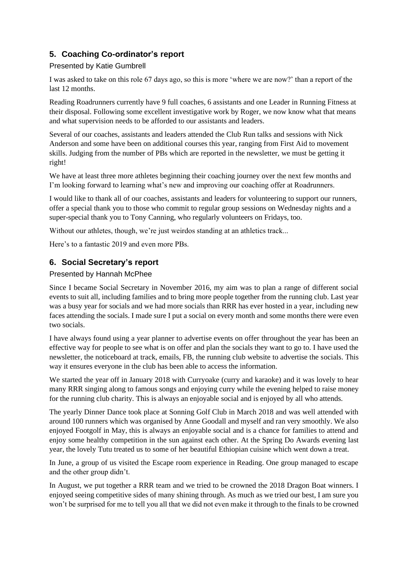# <span id="page-4-0"></span>**5. Coaching Co-ordinator's report**

### Presented by Katie Gumbrell

I was asked to take on this role 67 days ago, so this is more 'where we are now?' than a report of the last 12 months.

Reading Roadrunners currently have 9 full coaches, 6 assistants and one Leader in Running Fitness at their disposal. Following some excellent investigative work by Roger, we now know what that means and what supervision needs to be afforded to our assistants and leaders.

Several of our coaches, assistants and leaders attended the Club Run talks and sessions with Nick Anderson and some have been on additional courses this year, ranging from First Aid to movement skills. Judging from the number of PBs which are reported in the newsletter, we must be getting it right!

We have at least three more athletes beginning their coaching journey over the next few months and I'm looking forward to learning what's new and improving our coaching offer at Roadrunners.

I would like to thank all of our coaches, assistants and leaders for volunteering to support our runners, offer a special thank you to those who commit to regular group sessions on Wednesday nights and a super-special thank you to Tony Canning, who regularly volunteers on Fridays, too.

Without our athletes, though, we're just weirdos standing at an athletics track...

Here's to a fantastic 2019 and even more PBs.

# <span id="page-4-1"></span>**6. Social Secretary's report**

#### Presented by Hannah McPhee

Since I became Social Secretary in November 2016, my aim was to plan a range of different social events to suit all, including families and to bring more people together from the running club. Last year was a busy year for socials and we had more socials than RRR has ever hosted in a year, including new faces attending the socials. I made sure I put a social on every month and some months there were even two socials.

I have always found using a year planner to advertise events on offer throughout the year has been an effective way for people to see what is on offer and plan the socials they want to go to. I have used the newsletter, the noticeboard at track, emails, FB, the running club website to advertise the socials. This way it ensures everyone in the club has been able to access the information.

We started the year off in January 2018 with Curryoake (curry and karaoke) and it was lovely to hear many RRR singing along to famous songs and enjoying curry while the evening helped to raise money for the running club charity. This is always an enjoyable social and is enjoyed by all who attends.

The yearly Dinner Dance took place at Sonning Golf Club in March 2018 and was well attended with around 100 runners which was organised by Anne Goodall and myself and ran very smoothly. We also enjoyed Footgolf in May, this is always an enjoyable social and is a chance for families to attend and enjoy some healthy competition in the sun against each other. At the Spring Do Awards evening last year, the lovely Tutu treated us to some of her beautiful Ethiopian cuisine which went down a treat.

In June, a group of us visited the Escape room experience in Reading. One group managed to escape and the other group didn't.

In August, we put together a RRR team and we tried to be crowned the 2018 Dragon Boat winners. I enjoyed seeing competitive sides of many shining through. As much as we tried our best, I am sure you won't be surprised for me to tell you all that we did not even make it through to the finals to be crowned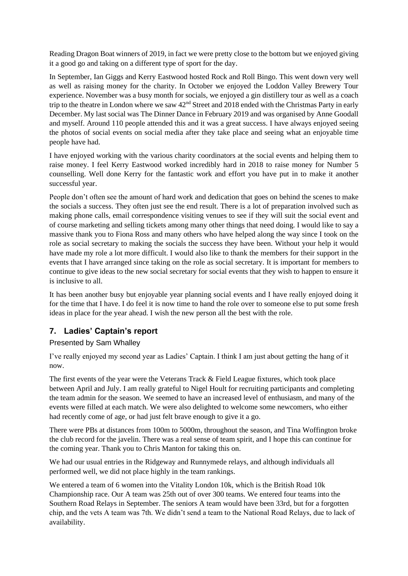Reading Dragon Boat winners of 2019, in fact we were pretty close to the bottom but we enjoyed giving it a good go and taking on a different type of sport for the day.

In September, Ian Giggs and Kerry Eastwood hosted Rock and Roll Bingo. This went down very well as well as raising money for the charity. In October we enjoyed the Loddon Valley Brewery Tour experience. November was a busy month for socials, we enjoyed a gin distillery tour as well as a coach trip to the theatre in London where we saw 42nd Street and 2018 ended with the Christmas Party in early December. My last social was The Dinner Dance in February 2019 and was organised by Anne Goodall and myself. Around 110 people attended this and it was a great success. I have always enjoyed seeing the photos of social events on social media after they take place and seeing what an enjoyable time people have had.

I have enjoyed working with the various charity coordinators at the social events and helping them to raise money. I feel Kerry Eastwood worked incredibly hard in 2018 to raise money for Number 5 counselling. Well done Kerry for the fantastic work and effort you have put in to make it another successful year.

People don't often see the amount of hard work and dedication that goes on behind the scenes to make the socials a success. They often just see the end result. There is a lot of preparation involved such as making phone calls, email correspondence visiting venues to see if they will suit the social event and of course marketing and selling tickets among many other things that need doing. I would like to say a massive thank you to Fiona Ross and many others who have helped along the way since I took on the role as social secretary to making the socials the success they have been. Without your help it would have made my role a lot more difficult. I would also like to thank the members for their support in the events that I have arranged since taking on the role as social secretary. It is important for members to continue to give ideas to the new social secretary for social events that they wish to happen to ensure it is inclusive to all.

It has been another busy but enjoyable year planning social events and I have really enjoyed doing it for the time that I have. I do feel it is now time to hand the role over to someone else to put some fresh ideas in place for the year ahead. I wish the new person all the best with the role.

# <span id="page-5-0"></span>**7. Ladies' Captain's report**

### Presented by Sam Whalley

I've really enjoyed my second year as Ladies' Captain. I think I am just about getting the hang of it now.

The first events of the year were the Veterans Track & Field League fixtures, which took place between April and July. I am really grateful to Nigel Hoult for recruiting participants and completing the team admin for the season. We seemed to have an increased level of enthusiasm, and many of the events were filled at each match. We were also delighted to welcome some newcomers, who either had recently come of age, or had just felt brave enough to give it a go.

There were PBs at distances from 100m to 5000m, throughout the season, and Tina Woffington broke the club record for the javelin. There was a real sense of team spirit, and I hope this can continue for the coming year. Thank you to Chris Manton for taking this on.

We had our usual entries in the Ridgeway and Runnymede relays, and although individuals all performed well, we did not place highly in the team rankings.

We entered a team of 6 women into the Vitality London 10k, which is the British Road 10k Championship race. Our A team was 25th out of over 300 teams. We entered four teams into the Southern Road Relays in September. The seniors A team would have been 33rd, but for a forgotten chip, and the vets A team was 7th. We didn't send a team to the National Road Relays, due to lack of availability.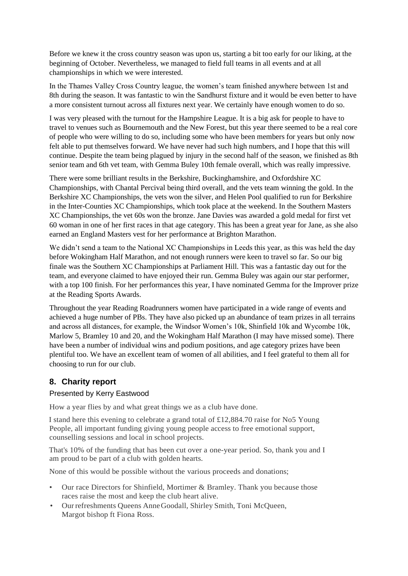Before we knew it the cross country season was upon us, starting a bit too early for our liking, at the beginning of October. Nevertheless, we managed to field full teams in all events and at all championships in which we were interested.

In the Thames Valley Cross Country league, the women's team finished anywhere between 1st and 8th during the season. It was fantastic to win the Sandhurst fixture and it would be even better to have a more consistent turnout across all fixtures next year. We certainly have enough women to do so.

I was very pleased with the turnout for the Hampshire League. It is a big ask for people to have to travel to venues such as Bournemouth and the New Forest, but this year there seemed to be a real core of people who were willing to do so, including some who have been members for years but only now felt able to put themselves forward. We have never had such high numbers, and I hope that this will continue. Despite the team being plagued by injury in the second half of the season, we finished as 8th senior team and 6th vet team, with Gemma Buley 10th female overall, which was really impressive.

There were some brilliant results in the Berkshire, Buckinghamshire, and Oxfordshire XC Championships, with Chantal Percival being third overall, and the vets team winning the gold. In the Berkshire XC Championships, the vets won the silver, and Helen Pool qualified to run for Berkshire in the Inter-Counties XC Championships, which took place at the weekend. In the Southern Masters XC Championships, the vet 60s won the bronze. Jane Davies was awarded a gold medal for first vet 60 woman in one of her first races in that age category. This has been a great year for Jane, as she also earned an England Masters vest for her performance at Brighton Marathon.

We didn't send a team to the National XC Championships in Leeds this year, as this was held the day before Wokingham Half Marathon, and not enough runners were keen to travel so far. So our big finale was the Southern XC Championships at Parliament Hill. This was a fantastic day out for the team, and everyone claimed to have enjoyed their run. Gemma Buley was again our star performer, with a top 100 finish. For her performances this year, I have nominated Gemma for the Improver prize at the Reading Sports Awards.

Throughout the year Reading Roadrunners women have participated in a wide range of events and achieved a huge number of PBs. They have also picked up an abundance of team prizes in all terrains and across all distances, for example, the Windsor Women's 10k, Shinfield 10k and Wycombe 10k, Marlow 5, Bramley 10 and 20, and the Wokingham Half Marathon (I may have missed some). There have been a number of individual wins and podium positions, and age category prizes have been plentiful too. We have an excellent team of women of all abilities, and I feel grateful to them all for choosing to run for our club.

### <span id="page-6-0"></span>**8. Charity report**

#### Presented by Kerry Eastwood

How a year flies by and what great things we as a club have done.

I stand here this evening to celebrate a grand total of £12,884.70 raise for No5 Young People, all important funding giving young people access to free emotional support, counselling sessions and local in school projects.

That's 10% of the funding that has been cut over a one-year period. So, thank you and I am proud to be part of a club with golden hearts.

None of this would be possible without the various proceeds and donations;

- Our race Directors for Shinfield, Mortimer & Bramley. Thank you because those races raise the most and keep the club heart alive.
- Ourrefreshments Queens AnneGoodall, Shirley Smith, Toni McQueen, Margot bishop ft Fiona Ross.